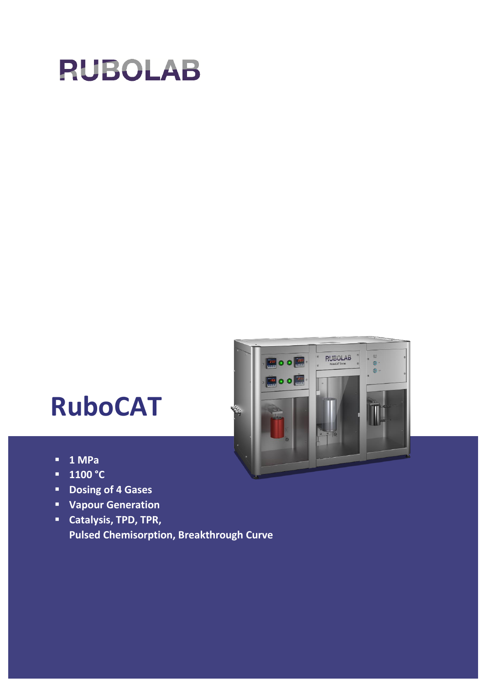



- **1 MPa**
- **1100 °C**
- **Dosing of 4 Gases**
- **Vapour Generation**
- **Catalysis, TPD, TPR, Pulsed Chemisorption, Breakthrough Curve**

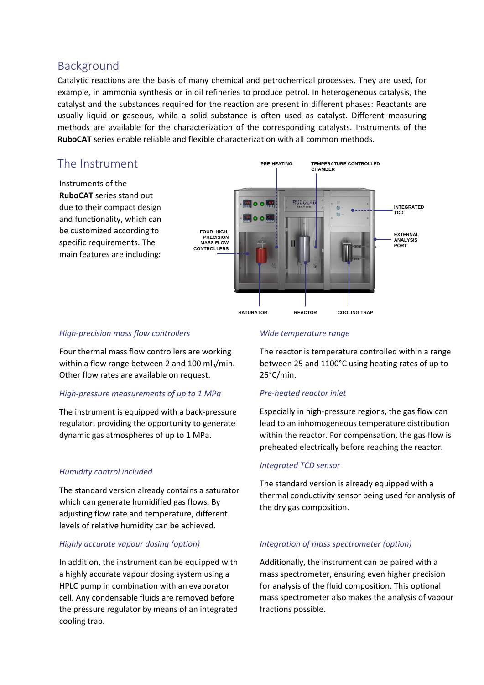# Background

Catalytic reactions are the basis of many chemical and petrochemical processes. They are used, for example, in ammonia synthesis or in oil refineries to produce petrol. In heterogeneous catalysis, the catalyst and the substances required for the reaction are present in different phases: Reactants are usually liquid or gaseous, while a solid substance is often used as catalyst. Different measuring methods are available for the characterization of the corresponding catalysts. Instruments of the **RuboCAT** series enable reliable and flexible characterization with all common methods.

# The Instrument

Instruments of the **RuboCAT** series stand out due to their compact design and functionality, which can be customized according to specific requirements. The main features are including:



#### *High-precision mass flow controllers*

Four thermal mass flow controllers are working within a flow range between 2 and 100  $ml<sub>n</sub>/min$ . Other flow rates are available on request.

## *High-pressure measurements of up to 1 MPa*

The instrument is equipped with a back-pressure regulator, providing the opportunity to generate dynamic gas atmospheres of up to 1 MPa.

## *Humidity control included*

The standard version already contains a saturator which can generate humidified gas flows. By adjusting flow rate and temperature, different levels of relative humidity can be achieved.

## *Highly accurate vapour dosing (option)*

In addition, the instrument can be equipped with a highly accurate vapour dosing system using a HPLC pump in combination with an evaporator cell. Any condensable fluids are removed before the pressure regulator by means of an integrated cooling trap.

#### *Wide temperature range*

The reactor is temperature controlled within a range between 25 and 1100°C using heating rates of up to 25°C/min.

## *Pre-heated reactor inlet*

Especially in high-pressure regions, the gas flow can lead to an inhomogeneous temperature distribution within the reactor. For compensation, the gas flow is preheated electrically before reaching the reactor*.*

#### *Integrated TCD sensor*

The standard version is already equipped with a thermal conductivity sensor being used for analysis of the dry gas composition.

## *Integration of mass spectrometer (option)*

Additionally, the instrument can be paired with a mass spectrometer, ensuring even higher precision for analysis of the fluid composition. This optional mass spectrometer also makes the analysis of vapour fractions possible.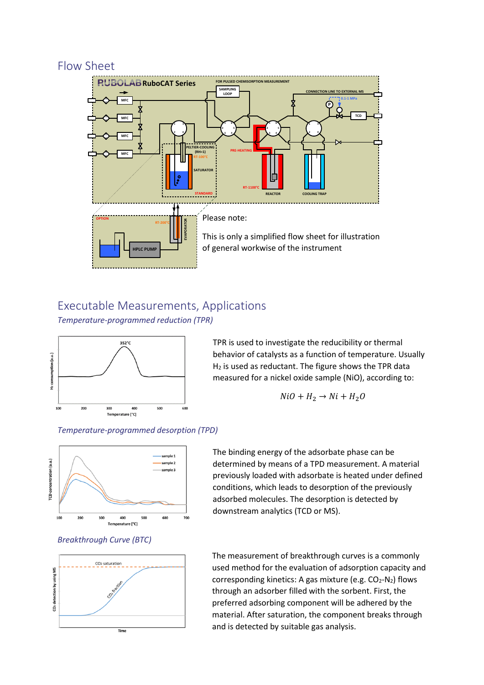# Flow Sheet



# Executable Measurements, Applications

*Temperature-programmed reduction (TPR)*



TPR is used to investigate the reducibility or thermal behavior of catalysts as a function of temperature. Usually  $H<sub>2</sub>$  is used as reductant. The figure shows the TPR data measured for a nickel oxide sample (NiO), according to:

$$
NiO + H_2 \rightarrow Ni + H_2O
$$

*Temperature-programmed desorption (TPD)*







The binding energy of the adsorbate phase can be determined by means of a TPD measurement. A material previously loaded with adsorbate is heated under defined conditions, which leads to desorption of the previously adsorbed molecules. The desorption is detected by downstream analytics (TCD or MS).

The measurement of breakthrough curves is a commonly used method for the evaluation of adsorption capacity and corresponding kinetics: A gas mixture (e.g.  $CO<sub>2</sub>-N<sub>2</sub>$ ) flows through an adsorber filled with the sorbent. First, the preferred adsorbing component will be adhered by the material. After saturation, the component breaks through